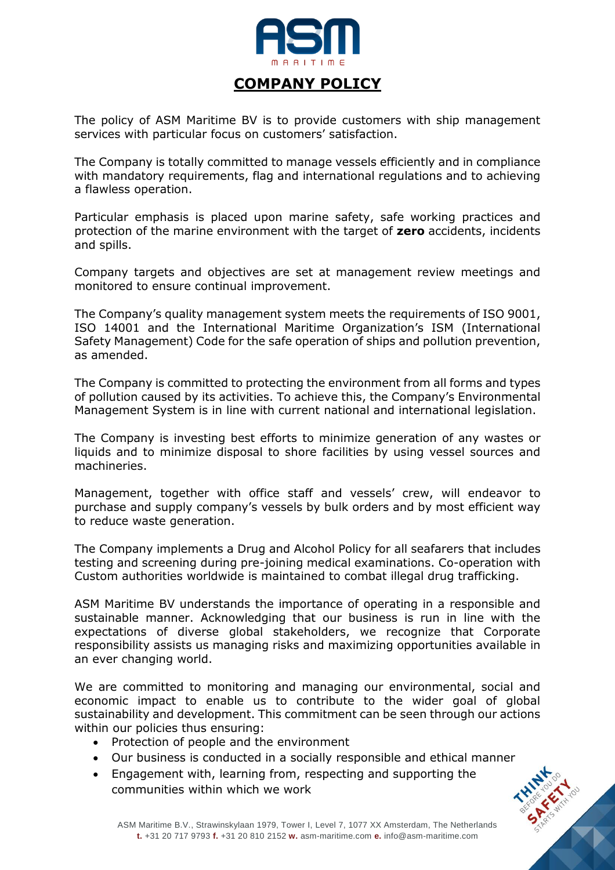

## **COMPANY POLICY**

The policy of ASM Maritime BV is to provide customers with ship management services with particular focus on customers' satisfaction.

The Company is totally committed to manage vessels efficiently and in compliance with mandatory requirements, flag and international regulations and to achieving a flawless operation.

Particular emphasis is placed upon marine safety, safe working practices and protection of the marine environment with the target of **zero** accidents, incidents and spills.

Company targets and objectives are set at management review meetings and monitored to ensure continual improvement.

The Company's quality management system meets the requirements of ISO 9001, ISO 14001 and the International Maritime Organization's ISM (International Safety Management) Code for the safe operation of ships and pollution prevention, as amended.

The Company is committed to protecting the environment from all forms and types of pollution caused by its activities. To achieve this, the Company's Environmental Management System is in line with current national and international legislation.

The Company is investing best efforts to minimize generation of any wastes or liquids and to minimize disposal to shore facilities by using vessel sources and machineries.

Management, together with office staff and vessels' crew, will endeavor to purchase and supply company's vessels by bulk orders and by most efficient way to reduce waste generation.

The Company implements a Drug and Alcohol Policy for all seafarers that includes testing and screening during pre-joining medical examinations. Co-operation with Custom authorities worldwide is maintained to combat illegal drug trafficking.

ASM Maritime BV understands the importance of operating in a responsible and sustainable manner. Acknowledging that our business is run in line with the expectations of diverse global stakeholders, we recognize that Corporate responsibility assists us managing risks and maximizing opportunities available in an ever changing world.

We are committed to monitoring and managing our environmental, social and economic impact to enable us to contribute to the wider goal of global sustainability and development. This commitment can be seen through our actions within our policies thus ensuring:

- Protection of people and the environment
- Our business is conducted in a socially responsible and ethical manner
- Engagement with, learning from, respecting and supporting the communities within which we work